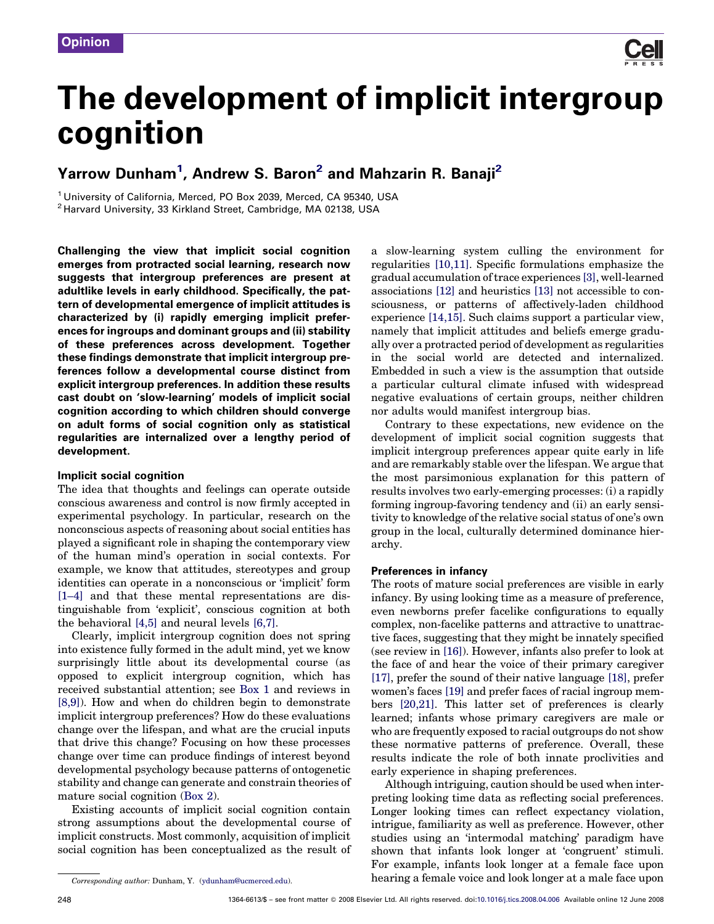

# The development of implicit intergroup cognition

## Yarrow Dunham<sup>1</sup>, Andrew S. Baron<sup>2</sup> and Mahzarin R. Banaji<sup>2</sup>

<sup>1</sup> University of California, Merced, PO Box 2039, Merced, CA 95340, USA <sup>2</sup> Harvard University, 33 Kirkland Street, Cambridge, MA 02138, USA

Challenging the view that implicit social cognition emerges from protracted social learning, research now suggests that intergroup preferences are present at adultlike levels in early childhood. Specifically, the pattern of developmental emergence of implicit attitudes is characterized by (i) rapidly emerging implicit preferences for ingroups and dominant groups and (ii) stability of these preferences across development. Together these findings demonstrate that implicit intergroup preferences follow a developmental course distinct from explicit intergroup preferences. In addition these results cast doubt on 'slow-learning' models of implicit social cognition according to which children should converge on adult forms of social cognition only as statistical regularities are internalized over a lengthy period of development.

## Implicit social cognition

The idea that thoughts and feelings can operate outside conscious awareness and control is now firmly accepted in experimental psychology. In particular, research on the nonconscious aspects of reasoning about social entities has played a significant role in shaping the contemporary view of the human mind's operation in social contexts. For example, we know that attitudes, stereotypes and group identities can operate in a nonconscious or 'implicit' form [\[1–4\]](#page-4-0) and that these mental representations are distinguishable from 'explicit', conscious cognition at both the behavioral [\[4,5\]](#page-4-0) and neural levels [\[6,7\]](#page-4-0).

Clearly, implicit intergroup cognition does not spring into existence fully formed in the adult mind, yet we know surprisingly little about its developmental course (as opposed to explicit intergroup cognition, which has received substantial attention; see [Box 1](#page-1-0) and reviews in [\[8,9\]\)](#page-4-0). How and when do children begin to demonstrate implicit intergroup preferences? How do these evaluations change over the lifespan, and what are the crucial inputs that drive this change? Focusing on how these processes change over time can produce findings of interest beyond developmental psychology because patterns of ontogenetic stability and change can generate and constrain theories of mature social cognition ([Box 2\)](#page-1-0).

Existing accounts of implicit social cognition contain strong assumptions about the developmental course of implicit constructs. Most commonly, acquisition of implicit social cognition has been conceptualized as the result of

Corresponding author: Dunham, Y. [\(ydunham@ucmerced.edu](mailto:ydunham@ucmerced.edu)).

a slow-learning system culling the environment for regularities [\[10,11\].](#page-4-0) Specific formulations emphasize the gradual accumulation of trace experiences [\[3\]](#page-4-0), well-learned associations [\[12\]](#page-4-0) and heuristics [\[13\]](#page-4-0) not accessible to consciousness, or patterns of affectively-laden childhood experience [\[14,15\]](#page-4-0). Such claims support a particular view, namely that implicit attitudes and beliefs emerge gradually over a protracted period of development as regularities in the social world are detected and internalized. Embedded in such a view is the assumption that outside a particular cultural climate infused with widespread negative evaluations of certain groups, neither children nor adults would manifest intergroup bias.

Contrary to these expectations, new evidence on the development of implicit social cognition suggests that implicit intergroup preferences appear quite early in life and are remarkably stable over the lifespan. We argue that the most parsimonious explanation for this pattern of results involves two early-emerging processes: (i) a rapidly forming ingroup-favoring tendency and (ii) an early sensitivity to knowledge of the relative social status of one's own group in the local, culturally determined dominance hierarchy.

#### Preferences in infancy

The roots of mature social preferences are visible in early infancy. By using looking time as a measure of preference, even newborns prefer facelike configurations to equally complex, non-facelike patterns and attractive to unattractive faces, suggesting that they might be innately specified (see review in [\[16\]\)](#page-4-0). However, infants also prefer to look at the face of and hear the voice of their primary caregiver [\[17\]](#page-4-0), prefer the sound of their native language [\[18\]](#page-4-0), prefer women's faces [\[19\]](#page-5-0) and prefer faces of racial ingroup members [\[20,21\].](#page-5-0) This latter set of preferences is clearly learned; infants whose primary caregivers are male or who are frequently exposed to racial outgroups do not show these normative patterns of preference. Overall, these results indicate the role of both innate proclivities and early experience in shaping preferences.

Although intriguing, caution should be used when interpreting looking time data as reflecting social preferences. Longer looking times can reflect expectancy violation, intrigue, familiarity as well as preference. However, other studies using an 'intermodal matching' paradigm have shown that infants look longer at 'congruent' stimuli. For example, infants look longer at a female face upon hearing a female voice and look longer at a male face upon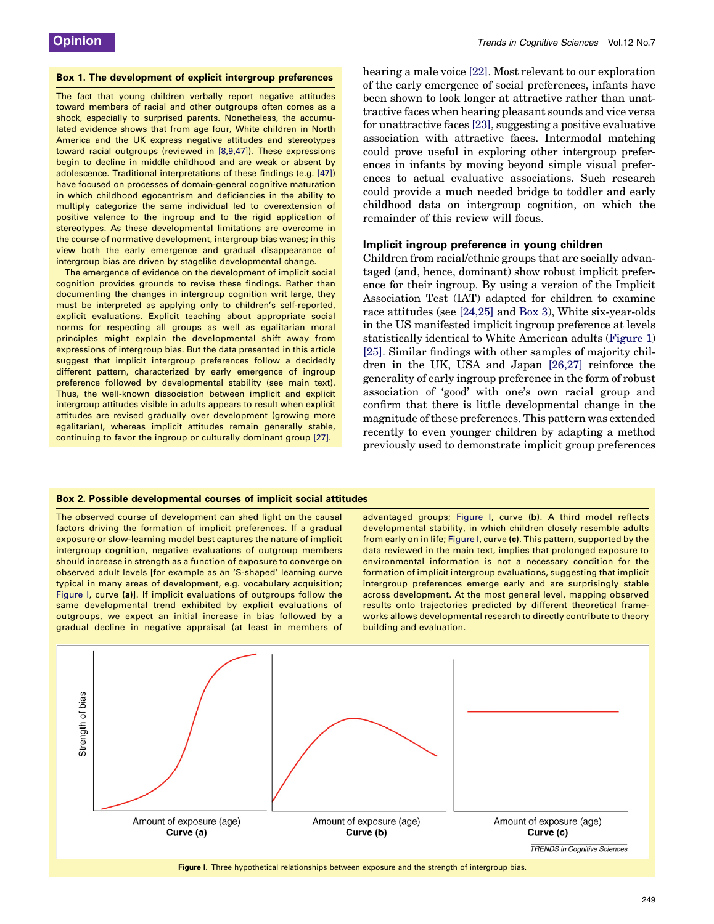#### <span id="page-1-0"></span>Box 1. The development of explicit intergroup preferences

The fact that young children verbally report negative attitudes toward members of racial and other outgroups often comes as a shock, especially to surprised parents. Nonetheless, the accumulated evidence shows that from age four, White children in North America and the UK express negative attitudes and stereotypes toward racial outgroups (reviewed in [\[8,9,47\]\)](#page-4-0). These expressions begin to decline in middle childhood and are weak or absent by adolescence. Traditional interpretations of these findings (e.g. [\[47\]](#page-5-0)) have focused on processes of domain-general cognitive maturation in which childhood egocentrism and deficiencies in the ability to multiply categorize the same individual led to overextension of positive valence to the ingroup and to the rigid application of stereotypes. As these developmental limitations are overcome in the course of normative development, intergroup bias wanes; in this view both the early emergence and gradual disappearance of intergroup bias are driven by stagelike developmental change.

The emergence of evidence on the development of implicit social cognition provides grounds to revise these findings. Rather than documenting the changes in intergroup cognition writ large, they must be interpreted as applying only to children's self-reported, explicit evaluations. Explicit teaching about appropriate social norms for respecting all groups as well as egalitarian moral principles might explain the developmental shift away from expressions of intergroup bias. But the data presented in this article suggest that implicit intergroup preferences follow a decidedly different pattern, characterized by early emergence of ingroup preference followed by developmental stability (see main text). Thus, the well-known dissociation between implicit and explicit intergroup attitudes visible in adults appears to result when explicit attitudes are revised gradually over development (growing more egalitarian), whereas implicit attitudes remain generally stable, continuing to favor the ingroup or culturally dominant group [\[27\]](#page-5-0).

hearing a male voice [\[22\].](#page-5-0) Most relevant to our exploration of the early emergence of social preferences, infants have been shown to look longer at attractive rather than unattractive faces when hearing pleasant sounds and vice versa for unattractive faces [\[23\]](#page-5-0), suggesting a positive evaluative association with attractive faces. Intermodal matching could prove useful in exploring other intergroup preferences in infants by moving beyond simple visual preferences to actual evaluative associations. Such research could provide a much needed bridge to toddler and early childhood data on intergroup cognition, on which the remainder of this review will focus.

#### Implicit ingroup preference in young children

Children from racial/ethnic groups that are socially advantaged (and, hence, dominant) show robust implicit preference for their ingroup. By using a version of the Implicit Association Test (IAT) adapted for children to examine race attitudes (see [\[24,25\]](#page-5-0) and [Box 3](#page-2-0)), White six-year-olds in the US manifested implicit ingroup preference at levels statistically identical to White American adults ([Figure 1\)](#page-3-0) [\[25\]](#page-5-0). Similar findings with other samples of majority children in the UK, USA and Japan [\[26,27\]](#page-5-0) reinforce the generality of early ingroup preference in the form of robust association of 'good' with one's own racial group and confirm that there is little developmental change in the magnitude of these preferences. This pattern was extended recently to even younger children by adapting a method previously used to demonstrate implicit group preferences

#### Box 2. Possible developmental courses of implicit social attitudes

The observed course of development can shed light on the causal factors driving the formation of implicit preferences. If a gradual exposure or slow-learning model best captures the nature of implicit intergroup cognition, negative evaluations of outgroup members should increase in strength as a function of exposure to converge on observed adult levels [for example as an 'S-shaped' learning curve typical in many areas of development, e.g. vocabulary acquisition; Figure I, curve (a)]. If implicit evaluations of outgroups follow the same developmental trend exhibited by explicit evaluations of outgroups, we expect an initial increase in bias followed by a gradual decline in negative appraisal (at least in members of

advantaged groups; Figure I, curve (b). A third model reflects developmental stability, in which children closely resemble adults from early on in life; Figure I, curve (c). This pattern, supported by the data reviewed in the main text, implies that prolonged exposure to environmental information is not a necessary condition for the formation of implicit intergroup evaluations, suggesting that implicit intergroup preferences emerge early and are surprisingly stable across development. At the most general level, mapping observed results onto trajectories predicted by different theoretical frameworks allows developmental research to directly contribute to theory building and evaluation.

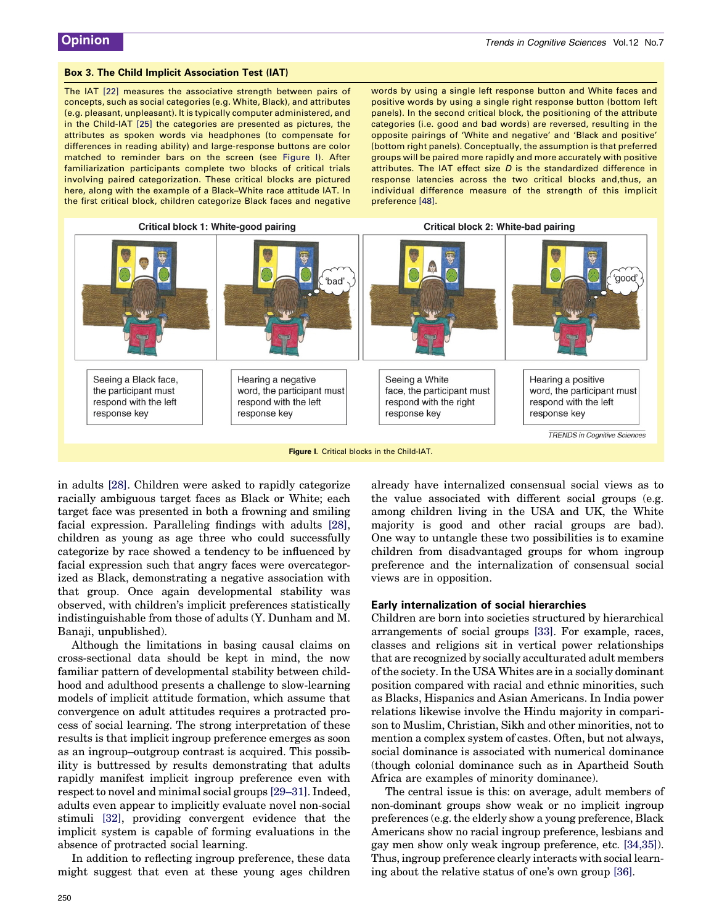#### <span id="page-2-0"></span>Box 3. The Child Implicit Association Test (IAT)

The IAT [\[22\]](#page-5-0) measures the associative strength between pairs of concepts, such as social categories (e.g. White, Black), and attributes (e.g. pleasant, unpleasant). It is typically computer administered, and in the Child-IAT [\[25\]](#page-5-0) the categories are presented as pictures, the attributes as spoken words via headphones (to compensate for differences in reading ability) and large-response buttons are color matched to reminder bars on the screen (see Figure I). After familiarization participants complete two blocks of critical trials involving paired categorization. These critical blocks are pictured here, along with the example of a Black–White race attitude IAT. In the first critical block, children categorize Black faces and negative words by using a single left response button and White faces and positive words by using a single right response button (bottom left panels). In the second critical block, the positioning of the attribute categories (i.e. good and bad words) are reversed, resulting in the opposite pairings of 'White and negative' and 'Black and positive' (bottom right panels). Conceptually, the assumption is that preferred groups will be paired more rapidly and more accurately with positive attributes. The IAT effect size  $D$  is the standardized difference in response latencies across the two critical blocks and,thus, an individual difference measure of the strength of this implicit preference [\[48\]](#page-5-0).



in adults [\[28\]](#page-5-0). Children were asked to rapidly categorize racially ambiguous target faces as Black or White; each target face was presented in both a frowning and smiling facial expression. Paralleling findings with adults [\[28\]](#page-5-0), children as young as age three who could successfully categorize by race showed a tendency to be influenced by facial expression such that angry faces were overcategorized as Black, demonstrating a negative association with that group. Once again developmental stability was observed, with children's implicit preferences statistically indistinguishable from those of adults (Y. Dunham and M. Banaji, unpublished).

Although the limitations in basing causal claims on cross-sectional data should be kept in mind, the now familiar pattern of developmental stability between childhood and adulthood presents a challenge to slow-learning models of implicit attitude formation, which assume that convergence on adult attitudes requires a protracted process of social learning. The strong interpretation of these results is that implicit ingroup preference emerges as soon as an ingroup–outgroup contrast is acquired. This possibility is buttressed by results demonstrating that adults rapidly manifest implicit ingroup preference even with respect to novel and minimal social groups [\[29–31\].](#page-5-0) Indeed, adults even appear to implicitly evaluate novel non-social stimuli [\[32\]](#page-5-0), providing convergent evidence that the implicit system is capable of forming evaluations in the absence of protracted social learning.

In addition to reflecting ingroup preference, these data might suggest that even at these young ages children already have internalized consensual social views as to the value associated with different social groups (e.g. among children living in the USA and UK, the White majority is good and other racial groups are bad). One way to untangle these two possibilities is to examine children from disadvantaged groups for whom ingroup preference and the internalization of consensual social views are in opposition.

#### Early internalization of social hierarchies

Children are born into societies structured by hierarchical arrangements of social groups [\[33\].](#page-5-0) For example, races, classes and religions sit in vertical power relationships that are recognized by socially acculturated adult members of the society. In the USA Whites are in a socially dominant position compared with racial and ethnic minorities, such as Blacks, Hispanics and Asian Americans. In India power relations likewise involve the Hindu majority in comparison to Muslim, Christian, Sikh and other minorities, not to mention a complex system of castes. Often, but not always, social dominance is associated with numerical dominance (though colonial dominance such as in Apartheid South Africa are examples of minority dominance).

The central issue is this: on average, adult members of non-dominant groups show weak or no implicit ingroup preferences (e.g. the elderly show a young preference, Black Americans show no racial ingroup preference, lesbians and gay men show only weak ingroup preference, etc. [\[34,35\]](#page-5-0)). Thus, ingroup preference clearly interacts with social learning about the relative status of one's own group [\[36\].](#page-5-0)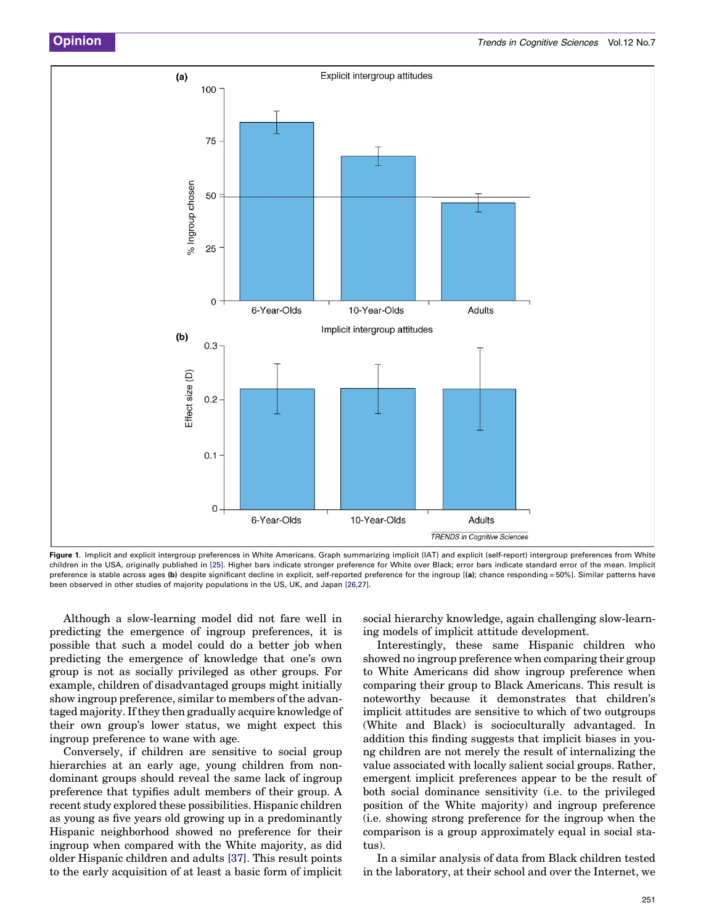<span id="page-3-0"></span>

Figure 1. Implicit and explicit intergroup preferences in White Americans. Graph summarizing implicit (IAT) and explicit (self-report) intergroup preferences from White children in the USA, originally published in [\[25\].](#page-5-0) Higher bars indicate stronger preference for White over Black; error bars indicate standard error of the mean. Implicit preference is stable across ages (b) despite significant decline in explicit, self-reported preference for the ingroup [(a); chance responding = 50%]. Similar patterns have been observed in other studies of majority populations in the US, UK, and Japan [\[26,27\]](#page-5-0).

Although a slow-learning model did not fare well in predicting the emergence of ingroup preferences, it is possible that such a model could do a better job when predicting the emergence of knowledge that one's own group is not as socially privileged as other groups. For example, children of disadvantaged groups might initially show ingroup preference, similar to members of the advantaged majority. If they then gradually acquire knowledge of their own group's lower status, we might expect this ingroup preference to wane with age.

Conversely, if children are sensitive to social group hierarchies at an early age, young children from nondominant groups should reveal the same lack of ingroup preference that typifies adult members of their group. A recent study explored these possibilities. Hispanic children as young as five years old growing up in a predominantly Hispanic neighborhood showed no preference for their ingroup when compared with the White majority, as did older Hispanic children and adults [\[37\].](#page-5-0) This result points to the early acquisition of at least a basic form of implicit

social hierarchy knowledge, again challenging slow-learning models of implicit attitude development.

Interestingly, these same Hispanic children who showed no ingroup preference when comparing their group to White Americans did show ingroup preference when comparing their group to Black Americans. This result is noteworthy because it demonstrates that children's implicit attitudes are sensitive to which of two outgroups (White and Black) is socioculturally advantaged. In addition this finding suggests that implicit biases in young children are not merely the result of internalizing the value associated with locally salient social groups. Rather, emergent implicit preferences appear to be the result of both social dominance sensitivity (i.e. to the privileged position of the White majority) and ingroup preference (i.e. showing strong preference for the ingroup when the comparison is a group approximately equal in social status).

In a similar analysis of data from Black children tested in the laboratory, at their school and over the Internet, we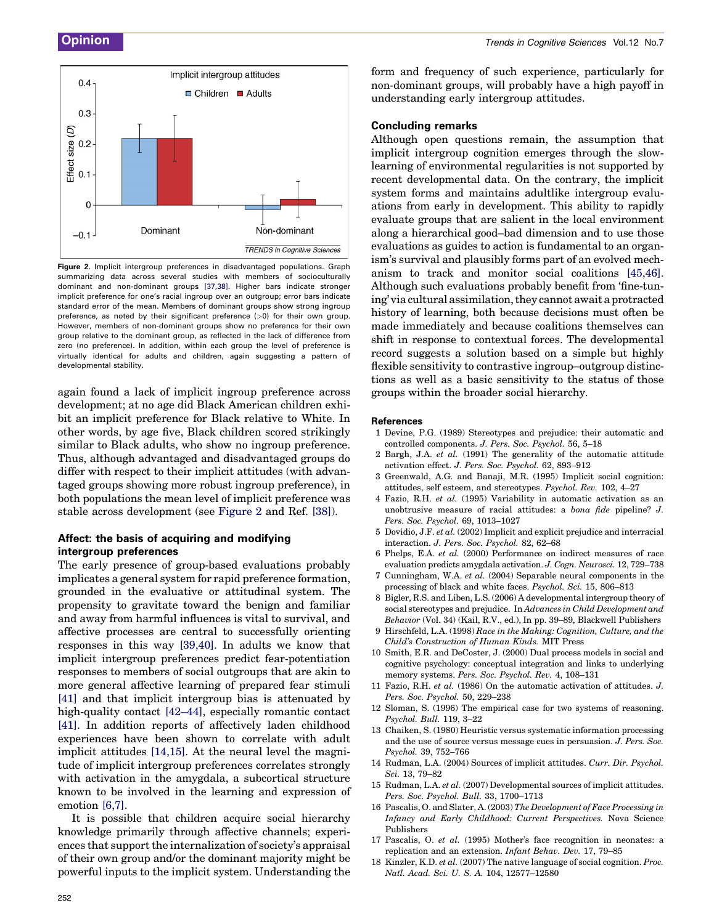<span id="page-4-0"></span>

Figure 2. Implicit intergroup preferences in disadvantaged populations. Graph summarizing data across several studies with members of socioculturally dominant and non-dominant groups [\[37,38\].](#page-5-0) Higher bars indicate stronger implicit preference for one's racial ingroup over an outgroup; error bars indicate standard error of the mean. Members of dominant groups show strong ingroup preference, as noted by their significant preference (>0) for their own group. However, members of non-dominant groups show no preference for their own group relative to the dominant group, as reflected in the lack of difference from zero (no preference). In addition, within each group the level of preference is virtually identical for adults and children, again suggesting a pattern of developmental stability.

again found a lack of implicit ingroup preference across development; at no age did Black American children exhibit an implicit preference for Black relative to White. In other words, by age five, Black children scored strikingly similar to Black adults, who show no ingroup preference. Thus, although advantaged and disadvantaged groups do differ with respect to their implicit attitudes (with advantaged groups showing more robust ingroup preference), in both populations the mean level of implicit preference was stable across development (see Figure 2 and Ref. [\[38\]](#page-5-0)).

## Affect: the basis of acquiring and modifying intergroup preferences

The early presence of group-based evaluations probably implicates a general system for rapid preference formation, grounded in the evaluative or attitudinal system. The propensity to gravitate toward the benign and familiar and away from harmful influences is vital to survival, and affective processes are central to successfully orienting responses in this way [\[39,40\].](#page-5-0) In adults we know that implicit intergroup preferences predict fear-potentiation responses to members of social outgroups that are akin to more general affective learning of prepared fear stimuli [\[41\]](#page-5-0) and that implicit intergroup bias is attenuated by high-quality contact  $[42-44]$ , especially romantic contact [\[41\]](#page-5-0). In addition reports of affectively laden childhood experiences have been shown to correlate with adult implicit attitudes [14,15]. At the neural level the magnitude of implicit intergroup preferences correlates strongly with activation in the amygdala, a subcortical structure known to be involved in the learning and expression of emotion [6,7].

It is possible that children acquire social hierarchy knowledge primarily through affective channels; experiences that support the internalization of society's appraisal of their own group and/or the dominant majority might be powerful inputs to the implicit system. Understanding the form and frequency of such experience, particularly for non-dominant groups, will probably have a high payoff in understanding early intergroup attitudes.

#### Concluding remarks

Although open questions remain, the assumption that implicit intergroup cognition emerges through the slowlearning of environmental regularities is not supported by recent developmental data. On the contrary, the implicit system forms and maintains adultlike intergroup evaluations from early in development. This ability to rapidly evaluate groups that are salient in the local environment along a hierarchical good–bad dimension and to use those evaluations as guides to action is fundamental to an organism's survival and plausibly forms part of an evolved mechanism to track and monitor social coalitions [\[45,46\]](#page-5-0). Although such evaluations probably benefit from 'fine-tuning' via cultural assimilation, they cannot await a protracted history of learning, both because decisions must often be made immediately and because coalitions themselves can shift in response to contextual forces. The developmental record suggests a solution based on a simple but highly flexible sensitivity to contrastive ingroup–outgroup distinctions as well as a basic sensitivity to the status of those groups within the broader social hierarchy.

#### **References**

- 1 Devine, P.G. (1989) Stereotypes and prejudice: their automatic and controlled components. J. Pers. Soc. Psychol. 56, 5–18
- 2 Bargh, J.A. et al. (1991) The generality of the automatic attitude activation effect. J. Pers. Soc. Psychol. 62, 893–912
- 3 Greenwald, A.G. and Banaji, M.R. (1995) Implicit social cognition: attitudes, self esteem, and stereotypes. Psychol. Rev. 102, 4–27
- 4 Fazio, R.H. et al. (1995) Variability in automatic activation as an unobtrusive measure of racial attitudes: a bona fide pipeline? J. Pers. Soc. Psychol. 69, 1013–1027
- 5 Dovidio, J.F. et al. (2002) Implicit and explicit prejudice and interracial interaction. J. Pers. Soc. Psychol. 82, 62–68
- 6 Phelps, E.A. et al. (2000) Performance on indirect measures of race evaluation predicts amygdala activation. J. Cogn. Neurosci. 12, 729–738
- 7 Cunningham, W.A. et al. (2004) Separable neural components in the processing of black and white faces. Psychol. Sci. 15, 806–813
- 8 Bigler, R.S. and Liben, L.S. (2006) A developmental intergroup theory of social stereotypes and prejudice. In Advances in Child Development and Behavior (Vol. 34) (Kail, R.V., ed.), In pp. 39–89, Blackwell Publishers
- 9 Hirschfeld, L.A. (1998) Race in the Making: Cognition, Culture, and the Child's Construction of Human Kinds. MIT Press
- 10 Smith, E.R. and DeCoster, J. (2000) Dual process models in social and cognitive psychology: conceptual integration and links to underlying memory systems. Pers. Soc. Psychol. Rev. 4, 108–131
- 11 Fazio, R.H. et al. (1986) On the automatic activation of attitudes. J. Pers. Soc. Psychol. 50, 229–238
- 12 Sloman, S. (1996) The empirical case for two systems of reasoning. Psychol. Bull. 119, 3–22
- 13 Chaiken, S. (1980) Heuristic versus systematic information processing and the use of source versus message cues in persuasion. J. Pers. Soc. Psychol. 39, 752–766
- 14 Rudman, L.A. (2004) Sources of implicit attitudes. Curr. Dir. Psychol. Sci. 13, 79–82
- 15 Rudman, L.A. et al. (2007) Developmental sources of implicit attitudes. Pers. Soc. Psychol. Bull. 33, 1700–1713
- 16 Pascalis, O. and Slater, A. (2003) The Development of Face Processing in Infancy and Early Childhood: Current Perspectives. Nova Science Publishers
- 17 Pascalis, O. et al. (1995) Mother's face recognition in neonates: a replication and an extension. Infant Behav. Dev. 17, 79–85
- 18 Kinzler, K.D. et al. (2007) The native language of social cognition. Proc. Natl. Acad. Sci. U. S. A. 104, 12577–12580